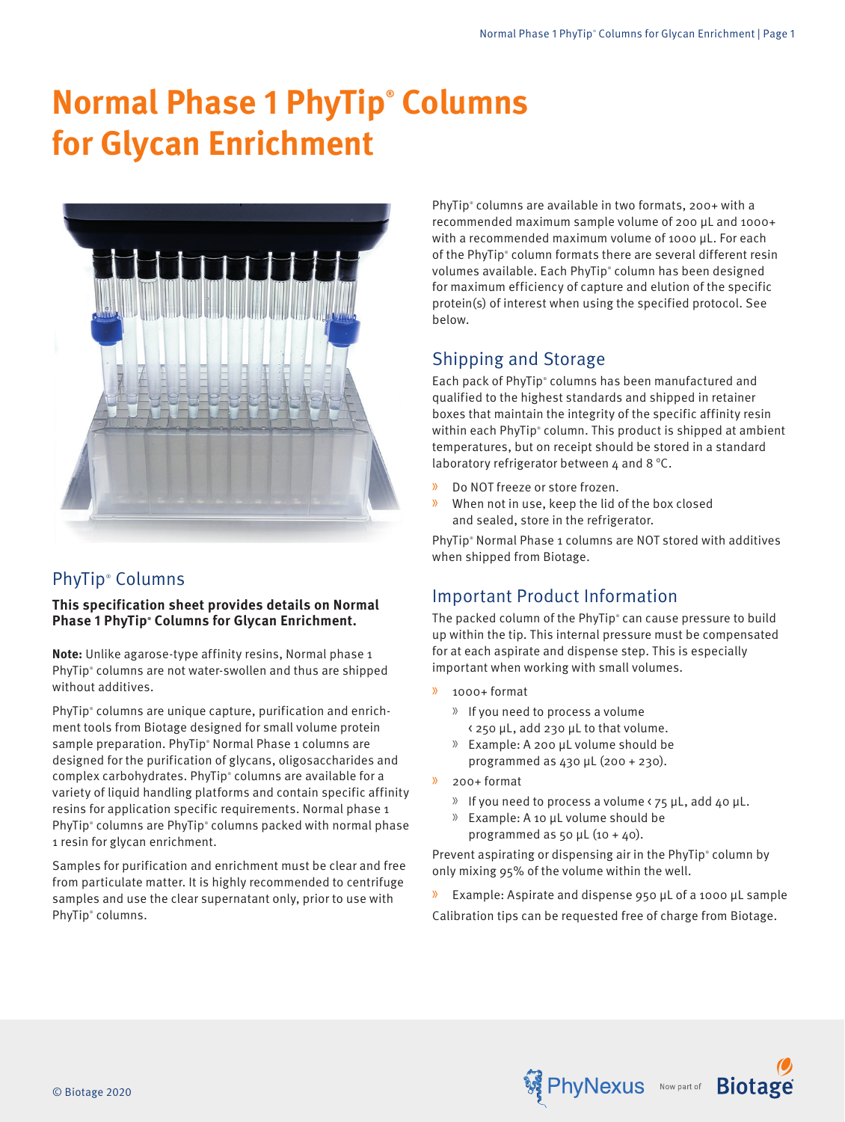# **Normal Phase 1 PhyTip® Columns for Glycan Enrichment**



# PhyTip® Columns

**This specification sheet provides details on Normal Phase 1 PhyTip® Columns for Glycan Enrichment.**

**Note:** Unlike agarose-type affinity resins, Normal phase 1 PhyTip® columns are not water-swollen and thus are shipped without additives.

PhyTip® columns are unique capture, purification and enrichment tools from Biotage designed for small volume protein sample preparation. PhyTip® Normal Phase 1 columns are designed for the purification of glycans, oligosaccharides and complex carbohydrates. PhyTip® columns are available for a variety of liquid handling platforms and contain specific affinity resins for application specific requirements. Normal phase 1 PhyTip® columns are PhyTip® columns packed with normal phase 1 resin for glycan enrichment.

Samples for purification and enrichment must be clear and free from particulate matter. It is highly recommended to centrifuge samples and use the clear supernatant only, prior to use with PhyTip® columns.

PhyTip<sup>®</sup> columns are available in two formats, 200+ with a recommended maximum sample volume of 200 μL and 1000+ with a recommended maximum volume of 1000 μL. For each of the PhyTip<sup>®</sup> column formats there are several different resin volumes available. Each PhyTip® column has been designed for maximum efficiency of capture and elution of the specific protein(s) of interest when using the specified protocol. See below.

# Shipping and Storage

Each pack of PhyTip® columns has been manufactured and qualified to the highest standards and shipped in retainer boxes that maintain the integrity of the specific affinity resin within each PhyTip® column. This product is shipped at ambient temperatures, but on receipt should be stored in a standard laboratory refrigerator between 4 and 8 °C.

- » Do NOT freeze or store frozen.
- » When not in use, keep the lid of the box closed and sealed, store in the refrigerator.

PhyTip® Normal Phase 1 columns are NOT stored with additives when shipped from Biotage.

# Important Product Information

The packed column of the PhyTip® can cause pressure to build up within the tip. This internal pressure must be compensated for at each aspirate and dispense step. This is especially important when working with small volumes.

- » 1000+ format
	- » If you need to process a volume
	- < 250 μL, add 230 μL to that volume.
	- » Example: A 200 μL volume should be programmed as 430 μL (200 + 230).
- » 200+ format
	- » If you need to process a volume < 75 μL, add 40 μL.
	- » Example: A 10 μL volume should be programmed as 50  $\mu$ L (10 + 40).

Prevent aspirating or dispensing air in the PhyTip® column by only mixing 95% of the volume within the well.

» Example: Aspirate and dispense 950 µL of a 1000 µL sample Calibration tips can be requested free of charge from Biotage.